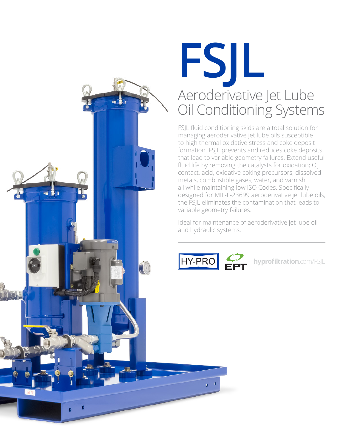

### **FSJL** Aeroderivative Jet Lube Oil Conditioning Systems

FSJL fluid conditioning skids are a total solution for managing aeroderivative jet lube oils susceptible to high thermal oxidative stress and coke deposit formation. FSJL prevents and reduces coke deposits that lead to variable geometry failures. Extend useful fluid life by removing the catalysts for oxidation;  $O<sub>2</sub>$ contact, acid, oxidative coking precursors, dissolved metals, combustible gases, water, and varnish all while maintaining low ISO Codes. Specifically designed for MIL-L-23699 aeroderivative jet lube oils, the FSJL eliminates the contamination that leads to variable geometry failures.

Ideal for maintenance of aeroderivative jet lube oil and hydraulic systems.



**hyprofiltration**.com/FSJL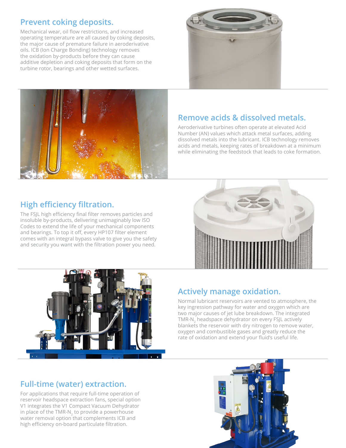#### **Prevent coking deposits.**

Mechanical wear, oil flow restrictions, and increased operating temperature are all caused by coking deposits, the major cause of premature failure in aeroderivative oils. ICB (Ion Charge Bonding) technology removes the oxidation by-products before they can cause additive depletion and coking deposits that form on the turbine rotor, bearings and other wetted surfaces.





#### **Remove acids & dissolved metals.**

Aeroderivative turbines often operate at elevated Acid Number (AN) values which attack metal surfaces, adding dissolved metals into the lubricant. ICB technology removes acids and metals, keeping rates of breakdown at a minimum while eliminating the feedstock that leads to coke formation.

#### **High efficiency filtration.**

The FSJL high efficiency final filter removes particles and insoluble by-products, delivering unimaginably low ISO Codes to extend the life of your mechanical components and bearings. To top it off, every HP107 filter element comes with an integral bypass valve to give you the safety and security you want with the filtration power you need.





#### **Actively manage oxidation.**

Normal lubricant reservoirs are vented to atmosphere, the key ingression pathway for water and oxygen which are two major causes of jet lube breakdown. The integrated TMR-N<sub>2</sub> headspace dehydrator on every FSJL actively blankets the reservoir with dry nitrogen to remove water, oxygen and combustible gases and greatly reduce the rate of oxidation and extend your fluid's useful life.

#### **Full-time (water) extraction.**

For applications that require full-time operation of reservoir headspace extraction fans, special option V1 integrates the V1 Compact Vacuum Dehydrator in place of the TMR-N<sub>2</sub> to provide a powerhouse water removal option that complements ICB and high efficiency on-board particulate filtration.

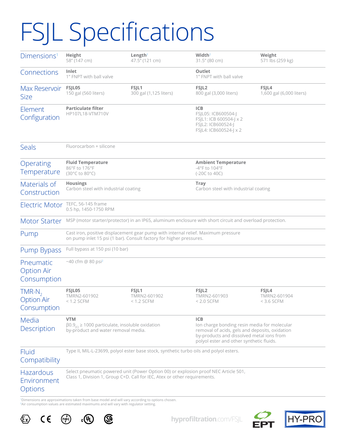# FSJL Specifications

| Dimensions <sup>1</sup>                       | Height<br>58" (147 cm)                                                                                                                                           | Length <sup>2</sup><br>47.5" (121 cm) | Width $2$<br>31.5" (80 cm)                                                                                                                                                                            | Weight<br>571 lbs (259 kg)            |
|-----------------------------------------------|------------------------------------------------------------------------------------------------------------------------------------------------------------------|---------------------------------------|-------------------------------------------------------------------------------------------------------------------------------------------------------------------------------------------------------|---------------------------------------|
| Connections                                   | Inlet<br>1" FNPT with ball valve                                                                                                                                 |                                       | Outlet<br>1" FNPT with ball valve                                                                                                                                                                     |                                       |
| Max Reservoir<br><b>Size</b>                  | FSJL05<br>150 gal (560 liters)                                                                                                                                   | FSJL1<br>300 gal (1,125 liters)       | FSJL <sub>2</sub><br>800 gal (3,000 liters)                                                                                                                                                           | FSIL4<br>1,600 gal (6,000 liters)     |
| Element<br>Configuration                      | <b>Particulate filter</b><br>HP107L18-VTM710V                                                                                                                    |                                       | <b>ICB</b><br>FSJL05: ICB600504-J<br>FSJL1: ICB 600504-J x 2<br>FSJL2: ICB600524-J<br>FSJL4: ICB600524-J x 2                                                                                          |                                       |
| <b>Seals</b>                                  | Fluorocarbon + silicone                                                                                                                                          |                                       |                                                                                                                                                                                                       |                                       |
| Operating<br>Temperature                      | <b>Fluid Temperature</b><br>86°F to 176°F<br>(30°C to 80°C)                                                                                                      |                                       | <b>Ambient Temperature</b><br>-4°F to 104°F<br>(-20C to 40C)                                                                                                                                          |                                       |
| Materials of<br>Construction                  | <b>Housings</b><br>Carbon steel with industrial coating                                                                                                          |                                       | Tray<br>Carbon steel with industrial coating                                                                                                                                                          |                                       |
| Electric Motor                                | TEFC, 56-145 frame<br>0.5 hp, 1450-1750 RPM                                                                                                                      |                                       |                                                                                                                                                                                                       |                                       |
| <b>Motor Starter</b>                          | MSP (motor starter/protector) in an IP65, aluminum enclosure with short circuit and overload protection.                                                         |                                       |                                                                                                                                                                                                       |                                       |
| Pump                                          | Cast iron, positive displacement gear pump with internal relief. Maximum pressure<br>on pump inlet 15 psi (1 bar). Consult factory for higher pressures.         |                                       |                                                                                                                                                                                                       |                                       |
| Pump Bypass                                   | Full bypass at 150 psi (10 bar)                                                                                                                                  |                                       |                                                                                                                                                                                                       |                                       |
| Pneumatic<br><b>Option Air</b><br>Consumption | ~40 cfm @ 80 psi <sup>2</sup>                                                                                                                                    |                                       |                                                                                                                                                                                                       |                                       |
| $TMR-N2$<br><b>Option Air</b><br>Consumption  | FSJL05<br>TMRN2-601902<br>$< 1.2$ SCFM                                                                                                                           | FSJL1<br>TMRN2-601902<br>$< 1.2$ SCFM | FSJL <sub>2</sub><br>TMRN2-601903<br>$< 2.0$ SCFM                                                                                                                                                     | FSJL4<br>TMRN2-601904<br>$<$ 3.6 SCFM |
| Media<br>Description                          | <b>VTM</b><br>$\beta$ 0.9 <sub>rc1</sub> $\geq$ 1000 particulate, insoluble oxidation<br>by-product and water removal media.                                     |                                       | <b>ICB</b><br>Ion charge bonding resin media for molecular<br>removal of acids, gels and deposits, oxidation<br>by-products and dissolved metal ions from<br>polyol ester and other synthetic fluids. |                                       |
| Fluid<br>Compatibility                        | Type II, MIL-L-23699, polyol ester base stock, synthetic turbo oils and polyol esters.                                                                           |                                       |                                                                                                                                                                                                       |                                       |
| <b>Hazardous</b><br>Environment<br>Options    | Select pneumatic powered unit (Power Option 00) or explosion proof NEC Article 501,<br>Class 1, Division 1, Group C+D. Call for IEC, Atex or other requirements. |                                       |                                                                                                                                                                                                       |                                       |

'Dimensions are approximations taken from base model and will vary according to options chosen.<br><sup>2</sup>Air consumption values are estimated maximums and will vary with regulator setting.





**hyprofiltration**.com/FSJL